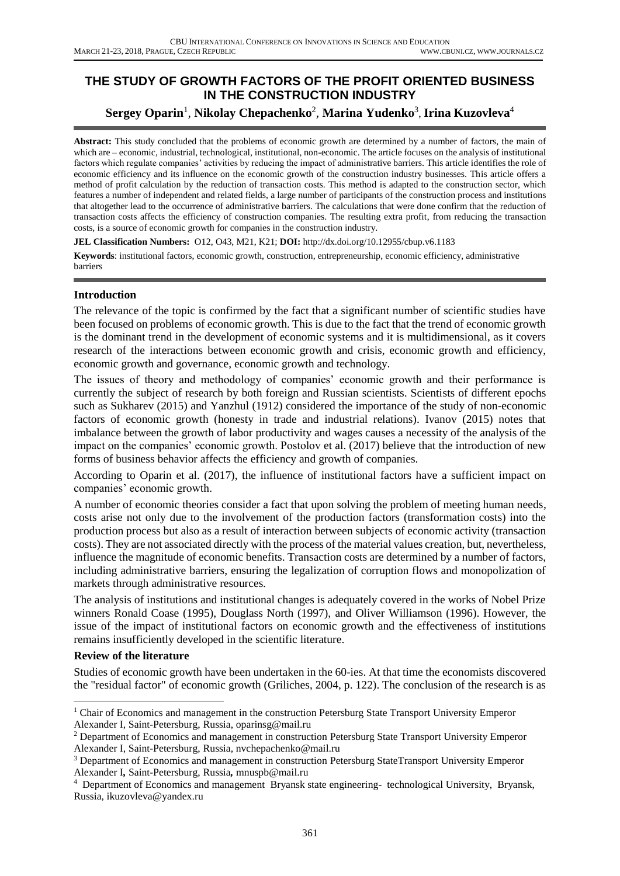# **THE STUDY OF GROWTH FACTORS OF THE PROFIT ORIENTED BUSINESS IN THE CONSTRUCTION INDUSTRY**

# $\mathbf{Sergey\ Oparin}^{1},$   $\mathbf{Nikolay\ Chepachenko}^{2},$   $\mathbf{Marina\ Yudenko}^{3},$   $\mathbf{Irina\ Kuzovleva}^{4}$

**Abstract:** This study concluded that the problems of economic growth are determined by a number of factors, the main of which are – economic, industrial, technological, institutional, non-economic. The article focuses on the analysis of institutional factors which regulate companies' activities by reducing the impact of administrative barriers. This article identifies the role of economic efficiency and its influence on the economic growth of the construction industry businesses. This article offers a method of profit calculation by the reduction of transaction costs. This method is adapted to the construction sector, which features a number of independent and related fields, a large number of participants of the construction process and institutions that altogether lead to the occurrence of administrative barriers. The calculations that were done confirm that the reduction of transaction costs affects the efficiency of construction companies. The resulting extra profit, from reducing the transaction costs, is a source of economic growth for companies in the construction industry.

**JEL Classification Numbers:** O12, O43, M21, K21; **DOI:** http://dx.doi.org/10.12955/cbup.v6.1183

**Keywords**: institutional factors, economic growth, construction, entrepreneurship, economic efficiency, administrative barriers

### **Introduction**

The relevance of the topic is confirmed by the fact that a significant number of scientific studies have been focused on problems of economic growth. This is due to the fact that the trend of economic growth is the dominant trend in the development of economic systems and it is multidimensional, as it covers research of the interactions between economic growth and crisis, economic growth and efficiency, economic growth and governance, economic growth and technology.

The issues of theory and methodology of companies' economic growth and their performance is currently the subject of research by both foreign and Russian scientists. Scientists of different epochs such as Sukharev (2015) and Yanzhul (1912) considered the importance of the study of non-economic factors of economic growth (honesty in trade and industrial relations). Ivanov (2015) notes that imbalance between the growth of labor productivity and wages causes a necessity of the analysis of the impact on the companies' economic growth. Postolov et al. (2017) believe that the introduction of new forms of business behavior affects the efficiency and growth of companies.

According to Oparin et al. (2017), the influence of institutional factors have a sufficient impact on companies' economic growth.

A number of economic theories consider a fact that upon solving the problem of meeting human needs, costs arise not only due to the involvement of the production factors (transformation costs) into the production process but also as a result of interaction between subjects of economic activity (transaction costs). They are not associated directly with the process of the material values creation, but, nevertheless, influence the magnitude of economic benefits. Transaction costs are determined by a number of factors, including administrative barriers, ensuring the legalization of corruption flows and monopolization of markets through administrative resources.

The analysis of institutions and institutional changes is adequately covered in the works of Nobel Prize winners Ronald Coase (1995), Douglass North (1997), and Oliver Williamson (1996). However, the issue of the impact of institutional factors on economic growth and the effectiveness of institutions remains insufficiently developed in the scientific literature.

### **Review of the literature**

Studies of economic growth have been undertaken in the 60-ies. At that time the economists discovered the "residual factor" of economic growth (Griliches, 2004, p. 122). The conclusion of the research is as

 $\overline{\phantom{a}}$  $1$  Chair of Economics and management in the construction Petersburg State Transport University Emperor Alexander I, Saint-Petersburg, Russia, oparinsg@mail.ru

<sup>&</sup>lt;sup>2</sup> Department of Economics and management in construction Petersburg State Transport University Emperor Alexander I, Saint-Petersburg, Russia, nvchepachenko@mail.ru

<sup>3</sup> Department of Economics and management in construction Petersburg StateTransport University Emperor Alexander I*,* Saint-Petersburg, Russia*,* mnuspb@mail.ru

<sup>&</sup>lt;sup>4</sup> Department of Economics and management Bryansk state engineering- technological University, Bryansk, Russia*,* ikuzovleva@yandex.ru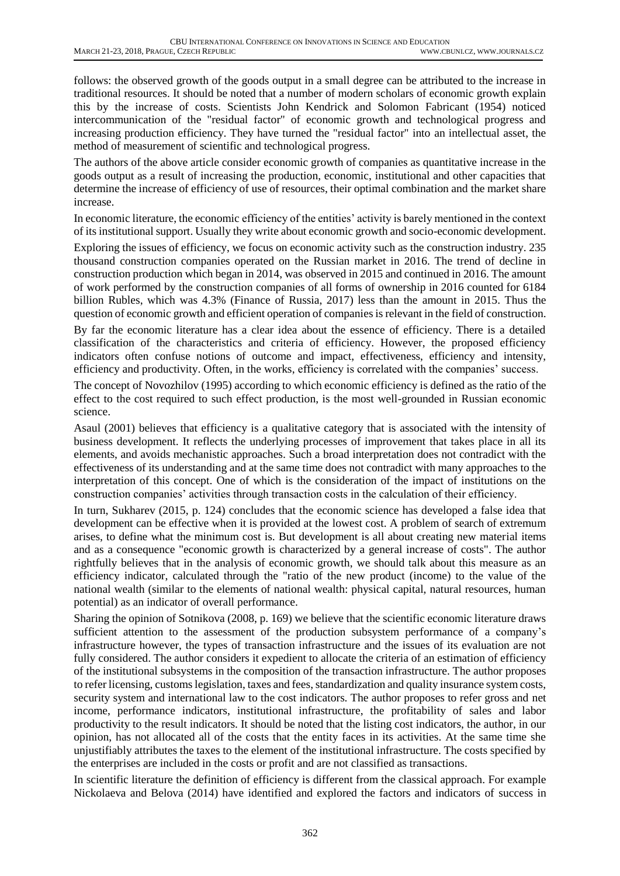follows: the observed growth of the goods output in a small degree can be attributed to the increase in traditional resources. It should be noted that a number of modern scholars of economic growth explain this by the increase of costs. Scientists John Kendrick and Solomon Fabricant (1954) noticed intercommunication of the "residual factor" of economic growth and technological progress and increasing production efficiency. They have turned the "residual factor" into an intellectual asset, the method of measurement of scientific and technological progress.

The authors of the above article consider economic growth of companies as quantitative increase in the goods output as a result of increasing the production, economic, institutional and other capacities that determine the increase of efficiency of use of resources, their optimal combination and the market share increase.

In economic literature, the economic efficiency of the entities' activity is barely mentioned in the context of its institutional support. Usually they write about economic growth and socio-economic development.

Exploring the issues of efficiency, we focus on economic activity such as the construction industry. 235 thousand construction companies operated on the Russian market in 2016. The trend of decline in construction production which began in 2014, was observed in 2015 and continued in 2016. The amount of work performed by the construction companies of all forms of ownership in 2016 counted for 6184 billion Rubles, which was 4.3% (Finance of Russia, 2017) less than the amount in 2015. Thus the question of economic growth and efficient operation of companies is relevant in the field of construction.

By far the economic literature has a clear idea about the essence of efficiency. There is a detailed classification of the characteristics and criteria of efficiency. However, the proposed efficiency indicators often confuse notions of outcome and impact, effectiveness, efficiency and intensity, efficiency and productivity. Often, in the works, efficiency is correlated with the companies' success.

The concept of Novozhilov (1995) according to which economic efficiency is defined as the ratio of the effect to the cost required to such effect production, is the most well-grounded in Russian economic science.

Asaul (2001) believes that efficiency is a qualitative category that is associated with the intensity of business development. It reflects the underlying processes of improvement that takes place in all its elements, and avoids mechanistic approaches. Such a broad interpretation does not contradict with the effectiveness of its understanding and at the same time does not contradict with many approaches to the interpretation of this concept. One of which is the consideration of the impact of institutions on the construction companies' activities through transaction costs in the calculation of their efficiency.

In turn, Sukharev (2015, p. 124) concludes that the economic science has developed a false idea that development can be effective when it is provided at the lowest cost. A problem of search of extremum arises, to define what the minimum cost is. But development is all about creating new material items and as a consequence "economic growth is characterized by a general increase of costs". The author rightfully believes that in the analysis of economic growth, we should talk about this measure as an efficiency indicator, calculated through the "ratio of the new product (income) to the value of the national wealth (similar to the elements of national wealth: physical capital, natural resources, human potential) as an indicator of overall performance.

Sharing the opinion of Sotnikova (2008, p. 169) we believe that the scientific economic literature draws sufficient attention to the assessment of the production subsystem performance of a company's infrastructure however, the types of transaction infrastructure and the issues of its evaluation are not fully considered. The author considers it expedient to allocate the criteria of an estimation of efficiency of the institutional subsystems in the composition of the transaction infrastructure. The author proposes to refer licensing, customs legislation, taxes and fees, standardization and quality insurance system costs, security system and international law to the cost indicators. The author proposes to refer gross and net income, performance indicators, institutional infrastructure, the profitability of sales and labor productivity to the result indicators. It should be noted that the listing cost indicators, the author, in our opinion, has not allocated all of the costs that the entity faces in its activities. At the same time she unjustifiably attributes the taxes to the element of the institutional infrastructure. The costs specified by the enterprises are included in the costs or profit and are not classified as transactions.

In scientific literature the definition of efficiency is different from the classical approach. For example Nickolaeva and Belova (2014) have identified and explored the factors and indicators of success in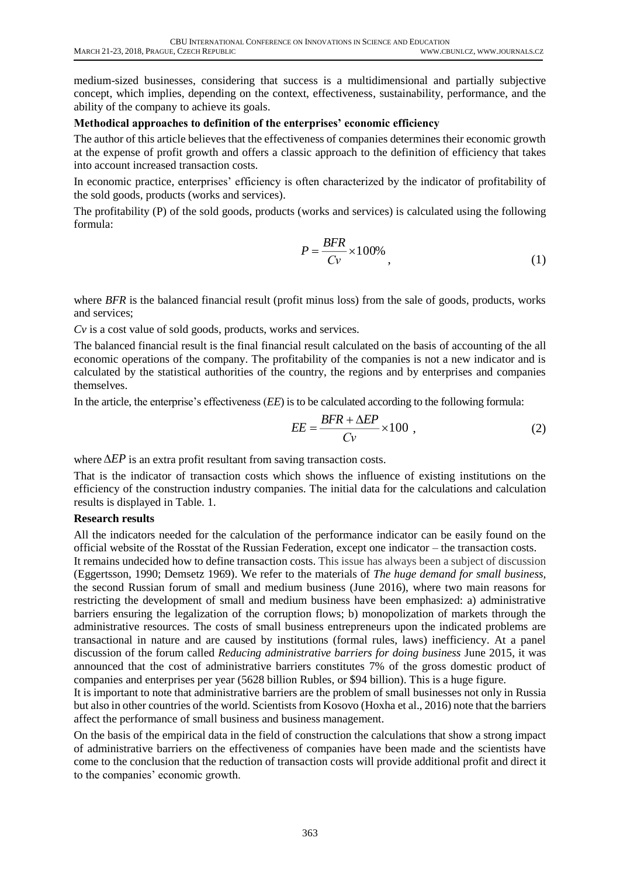medium-sized businesses, considering that success is a multidimensional and partially subjective concept, which implies, depending on the context, effectiveness, sustainability, performance, and the ability of the company to achieve its goals.

### **Methodical approaches to definition of the enterprises' economic efficiency**

The author of this article believes that the effectiveness of companies determines their economic growth at the expense of profit growth and offers a classic approach to the definition of efficiency that takes into account increased transaction costs.

In economic practice, enterprises' efficiency is often characterized by the indicator of profitability of the sold goods, products (works and services).

The profitability (P) of the sold goods, products (works and services) is calculated using the following formula:

$$
P = \frac{BFR}{Cv} \times 100\%
$$
\n<sup>(1)</sup>

where *BFR* is the balanced financial result (profit minus loss) from the sale of goods, products, works and services;

*Cv* is a cost value of sold goods, products, works and services.

The balanced financial result is the final financial result calculated on the basis of accounting of the all economic operations of the company. The profitability of the companies is not a new indicator and is calculated by the statistical authorities of the country, the regions and by enterprises and companies themselves.

In the article, the enterprise's effectiveness (*EE*) is to be calculated according to the following formula:

$$
EE = \frac{BFR + \Delta EP}{Cv} \times 100 \tag{2}
$$

where  $\Delta EP$  is an extra profit resultant from saving transaction costs.

That is the indicator of transaction costs which shows the influence of existing institutions on the efficiency of the construction industry companies. The initial data for the calculations and calculation results is displayed in Table. 1.

### **Research results**

All the indicators needed for the calculation of the performance indicator can be easily found on the official website of the Rosstat of the Russian Federation, except one indicator – the transaction costs.

It remains undecided how to define transaction costs. This issue has always been a subject of discussion (Eggertsson, 1990; Demsetz 1969). We refer to the materials of *The huge demand for small business,* the second Russian forum of small and medium business (June 2016), where two main reasons for restricting the development of small and medium business have been emphasized: a) administrative barriers ensuring the legalization of the corruption flows; b) monopolization of markets through the administrative resources. The costs of small business entrepreneurs upon the indicated problems are transactional in nature and are caused by institutions (formal rules, laws) inefficiency. At a panel discussion of the forum called *Reducing administrative barriers for doing business* June 2015, it was announced that the cost of administrative barriers constitutes 7% of the gross domestic product of companies and enterprises per year (5628 billion Rubles, or \$94 billion). This is a huge figure.

It is important to note that administrative barriers are the problem of small businesses not only in Russia but also in other countries of the world. Scientists from Kosovo (Hoxha et al., 2016) note that the barriers affect the performance of small business and business management.

On the basis of the empirical data in the field of construction the calculations that show a strong impact of administrative barriers on the effectiveness of companies have been made and the scientists have come to the conclusion that the reduction of transaction costs will provide additional profit and direct it to the companies' economic growth.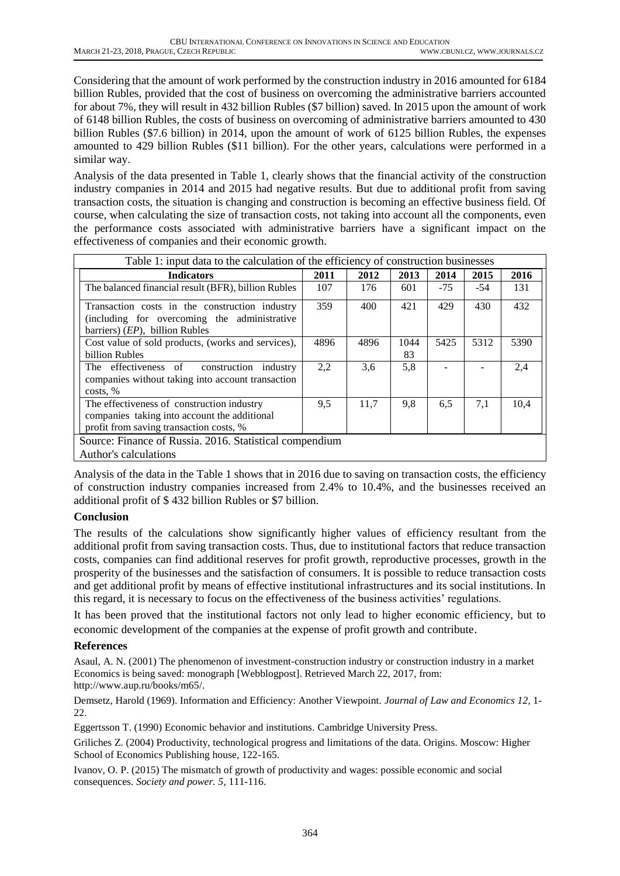Considering that the amount of work performed by the construction industry in 2016 amounted for 6184 billion Rubles, provided that the cost of business on overcoming the administrative barriers accounted for about 7%, they will result in 432 billion Rubles (\$7 billion) saved. In 2015 upon the amount of work of 6148 billion Rubles, the costs of business on overcoming of administrative barriers amounted to 430 billion Rubles (\$7.6 billion) in 2014, upon the amount of work of 6125 billion Rubles, the expenses amounted to 429 billion Rubles (\$11 billion). For the other years, calculations were performed in a similar way.

Analysis of the data presented in Table 1, clearly shows that the financial activity of the construction industry companies in 2014 and 2015 had negative results. But due to additional profit from saving transaction costs, the situation is changing and construction is becoming an effective business field. Of course, when calculating the size of transaction costs, not taking into account all the components, even the performance costs associated with administrative barriers have a significant impact on the effectiveness of companies and their economic growth.

| Table 1: input data to the calculation of the efficiency of construction businesses                                                   |      |      |            |       |       |      |
|---------------------------------------------------------------------------------------------------------------------------------------|------|------|------------|-------|-------|------|
| <b>Indicators</b>                                                                                                                     | 2011 | 2012 | 2013       | 2014  | 2015  | 2016 |
| The balanced financial result (BFR), billion Rubles                                                                                   | 107  | 176  | 601        | $-75$ | $-54$ | 131  |
| Transaction costs in the construction industry<br>(including for overcoming the administrative<br>barriers) $(EP)$ , billion Rubles   | 359  | 400  | 421        | 429   | 430   | 432  |
| Cost value of sold products, (works and services),<br>billion Rubles                                                                  | 4896 | 4896 | 1044<br>83 | 5425  | 5312  | 5390 |
| The effectiveness of<br>construction industry<br>companies without taking into account transaction<br>costs, %                        | 2,2  | 3,6  | 5,8        |       |       | 2,4  |
| The effectiveness of construction industry<br>companies taking into account the additional<br>profit from saving transaction costs, % | 9,5  | 11,7 | 9,8        | 6,5   | 7,1   | 10,4 |
| Source: Finance of Russia. 2016. Statistical compendium<br>Author's calculations                                                      |      |      |            |       |       |      |

Analysis of the data in the Table 1 shows that in 2016 due to saving on transaction costs, the efficiency of construction industry companies increased from 2.4% to 10.4%, and the businesses received an additional profit of \$ 432 billion Rubles or \$7 billion.

## **Conclusion**

The results of the calculations show significantly higher values of efficiency resultant from the additional profit from saving transaction costs. Thus, due to institutional factors that reduce transaction costs, companies can find additional reserves for profit growth, reproductive processes, growth in the prosperity of the businesses and the satisfaction of consumers. It is possible to reduce transaction costs and get additional profit by means of effective institutional infrastructures and its social institutions. In this regard, it is necessary to focus on the effectiveness of the business activities' regulations.

It has been proved that the institutional factors not only lead to higher economic efficiency, but to economic development of the companies at the expense of profit growth and contribute.

## **References**

Asaul, A. N. (2001) The phenomenon of investment-construction industry or construction industry in a market Economics is being saved: monograph [Webblogpost]. Retrieved March 22, 2017, from: http://www.aup.ru/books/m65/.

Demsetz, Harold (1969). Information and Efficiency: Another Viewpoint. *Journal of Law and Economics 12,* 1- 22.

Eggertsson T. (1990) Economic behavior and institutions. Cambridge University Press.

Griliches Z. (2004) Productivity, technological progress and limitations of the data. Origins. Moscow: Higher School of Economics Publishing house, 122-165.

Ivanov, O. P. (2015) The mismatch of growth of productivity and wages: possible economic and social consequences. *Society and power. 5,* 111-116.